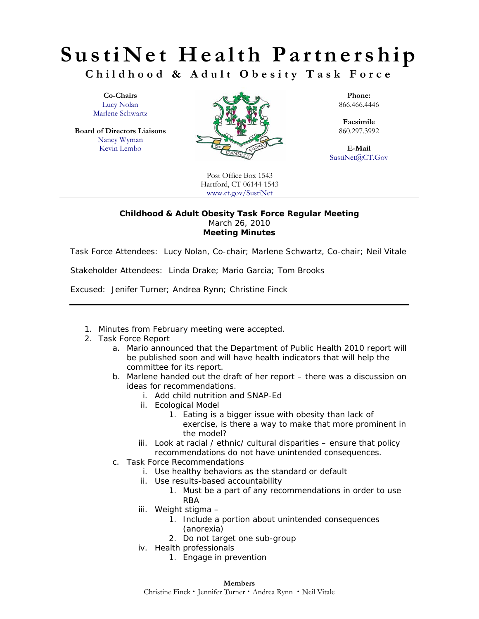## **SustiNet Health Partnership Childhood & Adult Obesity Task Force**

Lucy Nolan Marlene Schwartz

**Board of Directors Liaisons** Nancy Wyman



**Facsimile**<br>860.297.3992

SustiNet@CT.Gov

Post Office Box 1543 Hartford, CT 06144-1543 www.ct.gov/SustiNet

## **Childhood & Adult Obesity Task Force Regular Meeting**  March 26, 2010 **Meeting Minutes**

Task Force Attendees: *Lucy Nolan, Co-chair; Marlene Schwartz, Co-chair; Neil Vitale* 

Stakeholder Attendees: *Linda Drake; Mario Garcia; Tom Brooks* 

Excused: *Jenifer Turner; Andrea Rynn; Christine Finck* 

- 1. Minutes from February meeting were accepted.
- 2. Task Force Report
	- a. Mario announced that the Department of Public Health 2010 report will be published soon and will have health indicators that will help the committee for its report.
	- b. Marlene handed out the draft of her report there was a discussion on ideas for recommendations.
		- i. Add child nutrition and SNAP-Ed
		- ii. Ecological Model
			- 1. Eating is a bigger issue with obesity than lack of exercise, is there a way to make that more prominent in the model?
		- iii. Look at racial / ethnic/ cultural disparities ensure that policy recommendations do not have unintended consequences.
	- c. Task Force Recommendations
		- i. Use healthy behaviors as the standard or default
		- ii. Use results-based accountability
			- 1. Must be a part of any recommendations in order to use RBA
		- iii. Weight stigma
			- 1. Include a portion about unintended consequences (anorexia)
			- 2. Do not target one sub-group
		- iv. Health professionals
			- 1. Engage in prevention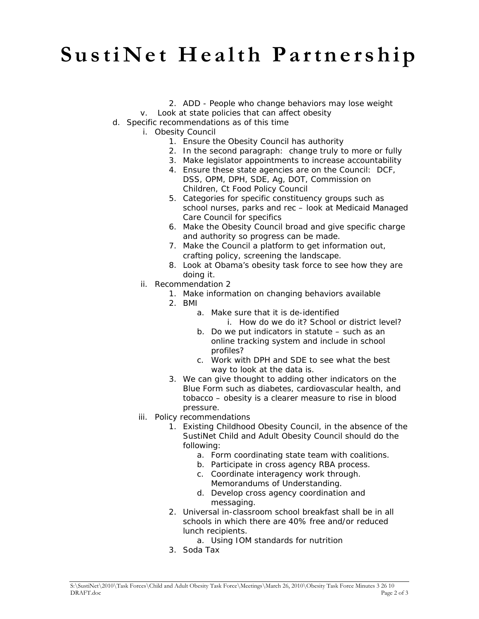## **SustiNet Health Partnership**

- 2. ADD People who change behaviors may lose weight
- v. Look at state policies that can affect obesity
- d. Specific recommendations as of this time
	- i. Obesity Council
		- 1. Ensure the Obesity Council has authority
		- 2. In the second paragraph: change truly to more or fully
		- 3. Make legislator appointments to increase accountability
		- 4. Ensure these state agencies are on the Council: DCF, DSS, OPM, DPH, SDE, Ag, DOT, Commission on Children, Ct Food Policy Council
		- 5. Categories for specific constituency groups such as school nurses, parks and rec – look at Medicaid Managed Care Council for specifics
		- 6. Make the Obesity Council broad and give specific charge and authority so progress can be made.
		- 7. Make the Council a platform to get information out, crafting policy, screening the landscape.
		- 8. Look at Obama's obesity task force to see how they are doing it.
	- ii. Recommendation 2
		- 1. Make information on changing behaviors available
		- 2. BMI
			- a. Make sure that it is de-identified i. How do we do it? School or district level?
			- b. Do we put indicators in statute such as an online tracking system and include in school profiles?
			- c. Work with DPH and SDE to see what the best way to look at the data is.
		- 3. We can give thought to adding other indicators on the Blue Form such as diabetes, cardiovascular health, and tobacco – obesity is a clearer measure to rise in blood pressure.
	- iii. Policy recommendations
		- 1. Existing Childhood Obesity Council, in the absence of the SustiNet Child and Adult Obesity Council should do the following:
			- a. Form coordinating state team with coalitions.
			- b. Participate in cross agency RBA process.
			- c. Coordinate interagency work through. Memorandums of Understanding.
			- d. Develop cross agency coordination and messaging.
		- 2. Universal in-classroom school breakfast shall be in all schools in which there are 40% free and/or reduced lunch recipients.
			- a. Using IOM standards for nutrition
		- 3. Soda Tax